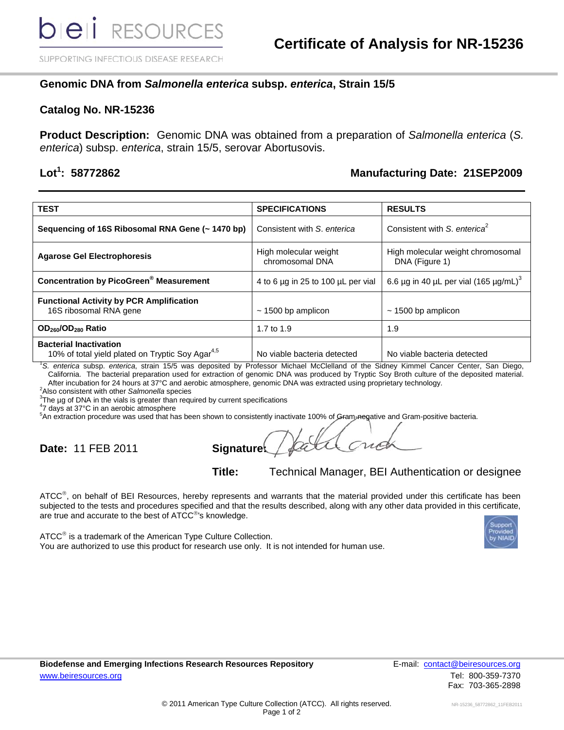SUPPORTING INFECTIOUS DISEASE RESEARCH

## **Genomic DNA from** *Salmonella enterica* **subsp.** *enterica***, Strain 15/5**

#### **Catalog No. NR-15236**

**Product Description:** Genomic DNA was obtained from a preparation of *Salmonella enterica* (*S. enterica*) subsp. *enterica*, strain 15/5, serovar Abortusovis.

### Lot<sup>1</sup>: 58772862

### **: 58772862 Manufacturing Date: 21SEP2009**

| <b>TEST</b>                                                                                   | <b>SPECIFICATIONS</b>                    | <b>RESULTS</b>                                      |
|-----------------------------------------------------------------------------------------------|------------------------------------------|-----------------------------------------------------|
| Sequencing of 16S Ribosomal RNA Gene (~ 1470 bp)                                              | Consistent with S. enterica              | Consistent with S. enterica <sup>2</sup>            |
| <b>Agarose Gel Electrophoresis</b>                                                            | High molecular weight<br>chromosomal DNA | High molecular weight chromosomal<br>DNA (Figure 1) |
| <b>Concentration by PicoGreen<sup>®</sup> Measurement</b>                                     | 4 to 6 µg in 25 to 100 µL per vial       | 6.6 µg in 40 µL per vial (165 µg/mL) <sup>3</sup>   |
| <b>Functional Activity by PCR Amplification</b><br>16S ribosomal RNA gene                     | $\sim$ 1500 bp amplicon                  | 1500 bp amplicon<br>$\widetilde{\phantom{m}}$       |
| OD <sub>260</sub> /OD <sub>280</sub> Ratio                                                    | 1.7 to $1.9$                             | 1.9                                                 |
| <b>Bacterial Inactivation</b><br>10% of total yield plated on Tryptic Soy Agar <sup>4,5</sup> | No viable bacteria detected              | No viable bacteria detected                         |

1 *S. enterica* subsp. *enterica*, strain 15/5 was deposited by Professor Michael McClelland of the Sidney Kimmel Cancer Center, San Diego, California. The bacterial preparation used for extraction of genomic DNA was produced by Tryptic Soy Broth culture of the deposited material. After incubation for 24 hours at 37°C and aerobic atmosphere, genomic DNA was extracted using proprietary technology. <sup>2</sup>

<sup>2</sup>Also consistent with other Salmonella species

 $3$ The  $\mu$ g of DNA in the vials is greater than required by current specifications

 $^{47}$  days at 37 $^{\circ}$ C in an aerobic atmosphere

<sup>5</sup>An extraction procedure was used that has been shown to consistently inactivate 100% of Gram-negative and Gram-positive bacteria.

**Date:** 11 FEB 2011 **Signature:**

**Title:** Technical Manager, BEI Authentication or designee

 $\t{ATCC}^{\circ}$ , on behalf of BEI Resources, hereby represents and warrants that the material provided under this certificate has been subjected to the tests and procedures specified and that the results described, along with any other data provided in this certificate, are true and accurate to the best of ATCC<sup>®</sup>'s knowledge.

 $ATCC<sup>®</sup>$  is a trademark of the American Type Culture Collection. You are authorized to use this product for research use only. It is not intended for human use.